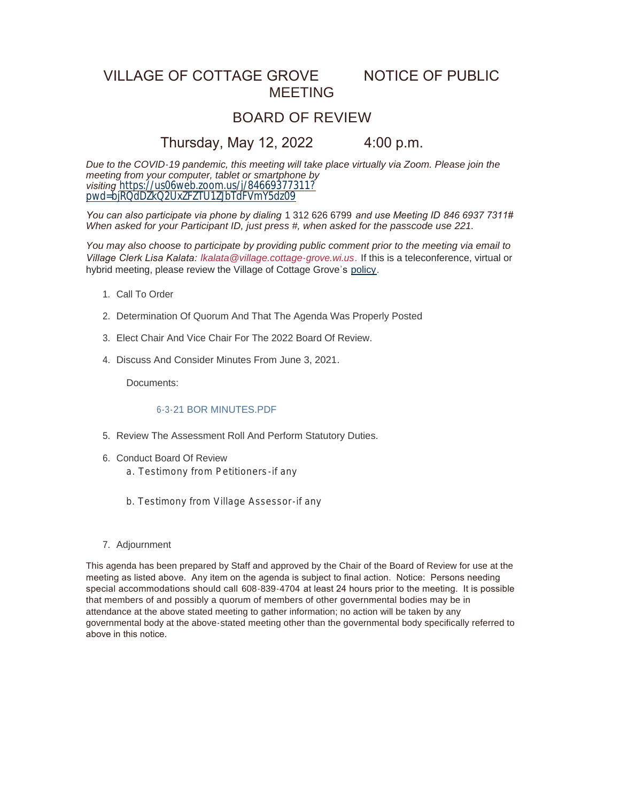# VILLAGE OF COTTAGE GROVE NOTICE OF PUBLIC MEETING

## BOARD OF REVIEW

### Thursday, May 12, 2022 4:00 p.m.

*Due to the COVID-19 pandemic, this meeting will take place virtually via Zoom. Please join the meeting from your computer, tablet or smartphone by visiting* [https://us06web.zoom.us/j/84669377311?](https://us06web.zoom.us/j/84669377311?pwd=bjRQdDZkQ2UxZFZTU1ZJbTdFVmY5dz09) pwd=bjRQdDZkQ2UxZFZTU1ZJbTdFVmY5dz09

*You can also participate via phone by dialing* 1 312 626 6799 *and use Meeting ID 846 6937 7311# When asked for your Participant ID, just press #, when asked for the passcode use 221.*

*You may also choose to participate by providing public comment prior to the meeting via email to Village Clerk Lisa Kalata: [lkalata@village.cottage-grove.wi.us](mailto:lkalata@village.cottage-grove.wi.us).* If this is a teleconference, virtual or hybrid meeting, please review the Village of Cottage Grove's [policy](https://www.vi.cottagegrove.wi.gov/DocumentCenter/View/1850/Virtual-Hybrid-Tele-meeting-Policy-Final).

- 1. Call To Order
- 2. Determination Of Quorum And That The Agenda Was Properly Posted
- Elect Chair And Vice Chair For The 2022 Board Of Review. 3.
- 4. Discuss And Consider Minutes From June 3, 2021.

Documents:

#### 6-3-21 BOR MINUTES.PDF

- 5. Review The Assessment Roll And Perform Statutory Duties.
- 6. Conduct Board Of Review
	- a. Testimony from Petitioners-if any
	- b. Testimony from Village Assessor-if any
- 7. Adjournment

This agenda has been prepared by Staff and approved by the Chair of the Board of Review for use at the meeting as listed above. Any item on the agenda is subject to final action. Notice: Persons needing special accommodations should call 608-839-4704 at least 24 hours prior to the meeting. It is possible that members of and possibly a quorum of members of other governmental bodies may be in attendance at the above stated meeting to gather information; no action will be taken by any governmental body at the above-stated meeting other than the governmental body specifically referred to above in this notice.